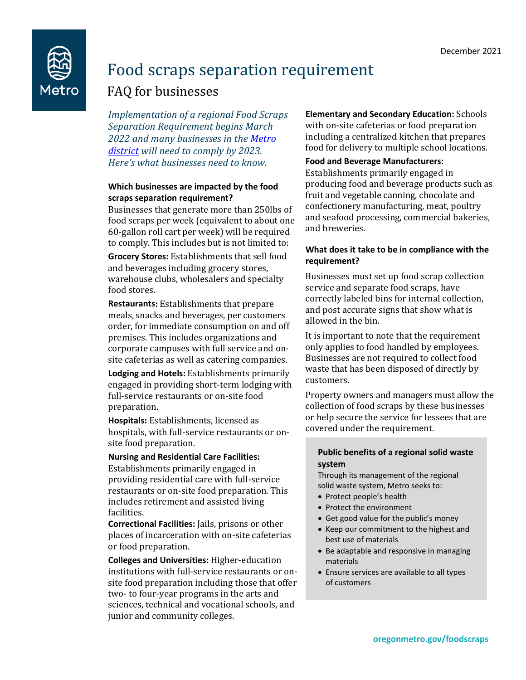

# Food scraps separation requirement

# FAQ for businesses

*Implementation of a regional Food Scraps Separation Requirement begins March 2022 and many businesses in the [Metro](https://www.oregonmetro.gov/jurisdictional-boundaries-maps)  [district](https://www.oregonmetro.gov/jurisdictional-boundaries-maps) will need to comply by 2023. Here's what businesses need to know.*

# **Which businesses are impacted by the food scraps separation requirement?**

Businesses that generate more than 250lbs of food scraps per week (equivalent to about one 60-gallon roll cart per week) will be required to comply. This includes but is not limited to:

**Grocery Stores:** Establishments that sell food and beverages including grocery stores, warehouse clubs, wholesalers and specialty food stores.

**Restaurants:** Establishments that prepare meals, snacks and beverages, per customers order, for immediate consumption on and off premises. This includes organizations and corporate campuses with full service and onsite cafeterias as well as catering companies.

**Lodging and Hotels:** Establishments primarily engaged in providing short-term lodging with full-service restaurants or on-site food preparation.

**Hospitals:** Establishments, licensed as hospitals, with full-service restaurants or onsite food preparation.

#### **Nursing and Residential Care Facilities:**

Establishments primarily engaged in providing residential care with full-service restaurants or on-site food preparation. This includes retirement and assisted living facilities.

**Correctional Facilities:** Jails, prisons or other places of incarceration with on-site cafeterias or food preparation.

**Colleges and Universities:** Higher-education institutions with full-service restaurants or onsite food preparation including those that offer two- to four-year programs in the arts and sciences, technical and vocational schools, and junior and community colleges.

**Elementary and Secondary Education:** Schools with on-site cafeterias or food preparation including a centralized kitchen that prepares food for delivery to multiple school locations.

#### **Food and Beverage Manufacturers:**

Establishments primarily engaged in producing food and beverage products such as fruit and vegetable canning, chocolate and confectionery manufacturing, meat, poultry and seafood processing, commercial bakeries, and breweries.

#### **What does it take to be in compliance with the requirement?**

Businesses must set up food scrap collection service and separate food scraps, have correctly labeled bins for internal collection, and post accurate signs that show what is allowed in the bin.

It is important to note that the requirement only applies to food handled by employees. Businesses are not required to collect food waste that has been disposed of directly by customers.

Property owners and managers must allow the collection of food scraps by these businesses or help secure the service for lessees that are covered under the requirement.

#### **Public benefits of a regional solid waste system**

Through its management of the regional solid waste system, Metro seeks to:

- Protect people's health
- Protect the environment
- Get good value for the public's money
- Keep our commitment to the highest and best use of materials
- Be adaptable and responsive in managing materials
- Ensure services are available to all types of customers